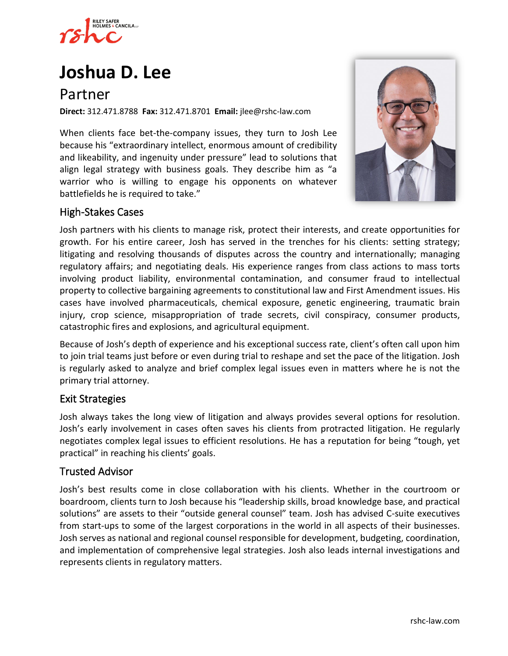

# **[Joshua D. Lee](https://www.rshc-law.com/attorneys/attorney/joshua-d.-lee)**

# Partner

**Direct:** 312.471.8788 **Fax:** 312.471.8701 **Email:** jlee@rshc-law.com

When clients face bet-the-company issues, they turn to Josh Lee because his "extraordinary intellect, enormous amount of credibility and likeability, and ingenuity under pressure" lead to solutions that align legal strategy with business goals. They describe him as "a warrior who is willing to engage his opponents on whatever battlefields he is required to take."



## High-Stakes Cases

Josh partners with his clients to manage risk, protect their interests, and create opportunities for growth. For his entire career, Josh has served in the trenches for his clients: setting strategy; litigating and resolving thousands of disputes across the country and internationally; managing regulatory affairs; and negotiating deals. His experience ranges from class actions to mass torts involving product liability, environmental contamination, and consumer fraud to intellectual property to collective bargaining agreements to constitutional law and First Amendment issues. His cases have involved pharmaceuticals, chemical exposure, genetic engineering, traumatic brain injury, crop science, misappropriation of trade secrets, civil conspiracy, consumer products, catastrophic fires and explosions, and agricultural equipment.

Because of Josh's depth of experience and his exceptional success rate, client's often call upon him to join trial teams just before or even during trial to reshape and set the pace of the litigation. Josh is regularly asked to analyze and brief complex legal issues even in matters where he is not the primary trial attorney.

#### Exit Strategies

Josh always takes the long view of litigation and always provides several options for resolution. Josh's early involvement in cases often saves his clients from protracted litigation. He regularly negotiates complex legal issues to efficient resolutions. He has a reputation for being "tough, yet practical" in reaching his clients' goals.

#### Trusted Advisor

Josh's best results come in close collaboration with his clients. Whether in the courtroom or boardroom, clients turn to Josh because his "leadership skills, broad knowledge base, and practical solutions" are assets to their "outside general counsel" team. Josh has advised C-suite executives from start-ups to some of the largest corporations in the world in all aspects of their businesses. Josh serves as national and regional counsel responsible for development, budgeting, coordination, and implementation of comprehensive legal strategies. Josh also leads internal investigations and represents clients in regulatory matters.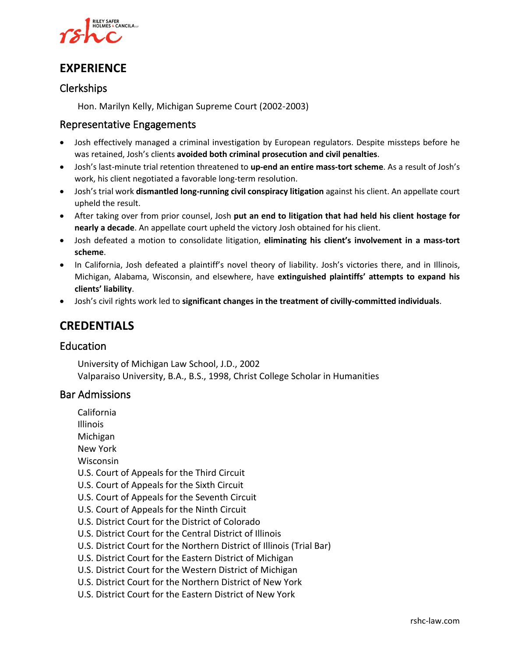

# **EXPERIENCE**

## Clerkships

Hon. Marilyn Kelly, Michigan Supreme Court (2002-2003)

#### Representative Engagements

- Josh effectively managed a criminal investigation by European regulators. Despite missteps before he was retained, Josh's clients **avoided both criminal prosecution and civil penalties**.
- Josh's last-minute trial retention threatened to **up-end an entire mass-tort scheme**. As a result of Josh's work, his client negotiated a favorable long-term resolution.
- Josh's trial work **dismantled long-running civil conspiracy litigation** against his client. An appellate court upheld the result.
- After taking over from prior counsel, Josh **put an end to litigation that had held his client hostage for nearly a decade**. An appellate court upheld the victory Josh obtained for his client.
- Josh defeated a motion to consolidate litigation, **eliminating his client's involvement in a mass-tort scheme**.
- In California, Josh defeated a plaintiff's novel theory of liability. Josh's victories there, and in Illinois, Michigan, Alabama, Wisconsin, and elsewhere, have **extinguished plaintiffs' attempts to expand his clients' liability**.
- Josh's civil rights work led to **significant changes in the treatment of civilly-committed individuals**.

# **CREDENTIALS**

#### Education

University of Michigan Law School, J.D., 2002 Valparaiso University, B.A., B.S., 1998, Christ College Scholar in Humanities

#### Bar Admissions

- California Illinois Michigan New York Wisconsin U.S. Court of Appeals for the Third Circuit U.S. Court of Appeals for the Sixth Circuit U.S. Court of Appeals for the Seventh Circuit U.S. Court of Appeals for the Ninth Circuit U.S. District Court for the District of Colorado U.S. District Court for the Central District of Illinois U.S. District Court for the Northern District of Illinois (Trial Bar) U.S. District Court for the Eastern District of Michigan U.S. District Court for the Western District of Michigan U.S. District Court for the Northern District of New York
- U.S. District Court for the Eastern District of New York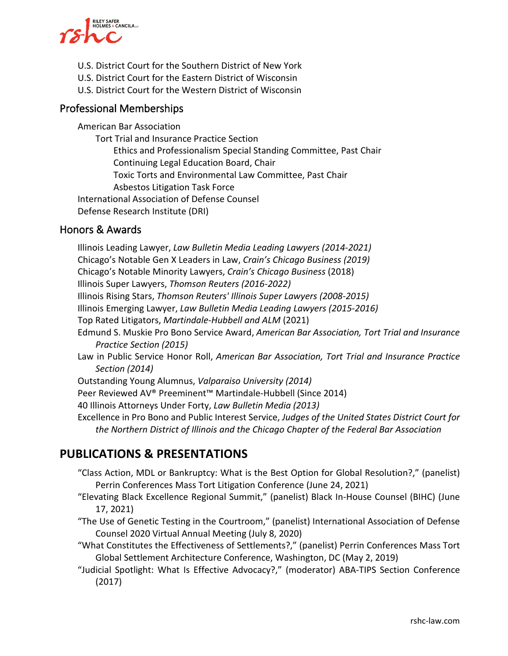

- U.S. District Court for the Southern District of New York
- U.S. District Court for the Eastern District of Wisconsin
- U.S. District Court for the Western District of Wisconsin

#### Professional Memberships

American Bar Association Tort Trial and Insurance Practice Section Ethics and Professionalism Special Standing Committee, Past Chair Continuing Legal Education Board, Chair Toxic Torts and Environmental Law Committee, Past Chair Asbestos Litigation Task Force International Association of Defense Counsel Defense Research Institute (DRI)

#### Honors & Awards

Illinois Leading Lawyer, *Law Bulletin Media Leading Lawyers (2014-2021)* Chicago's Notable Gen X Leaders in Law, *Crain's Chicago Business (2019)* Chicago's Notable Minority Lawyers, *Crain's Chicago Business* (2018) Illinois Super Lawyers, *Thomson Reuters (2016-2022)* Illinois Rising Stars, *Thomson Reuters' Illinois Super Lawyers (2008-2015)* Illinois Emerging Lawyer, *Law Bulletin Media Leading Lawyers (2015-2016)* Top Rated Litigators, *Martindale-Hubbell and ALM* (2021) Edmund S. Muskie Pro Bono Service Award, *American Bar Association, Tort Trial and Insurance Practice Section (2015)* Law in Public Service Honor Roll, *American Bar Association, Tort Trial and Insurance Practice Section (2014)* Outstanding Young Alumnus, *Valparaiso University (2014)* Peer Reviewed AV® Preeminent™ Martindale-Hubbell (Since 2014) 40 Illinois Attorneys Under Forty, *Law Bulletin Media (2013)* Excellence in Pro Bono and Public Interest Service, *Judges of the United States District Court for the Northern District of Illinois and the Chicago Chapter of the Federal Bar Association*

## **PUBLICATIONS & PRESENTATIONS**

- "Class Action, MDL or Bankruptcy: What is the Best Option for Global Resolution?," (panelist) Perrin Conferences Mass Tort Litigation Conference (June 24, 2021)
- "Elevating Black Excellence Regional Summit," (panelist) Black In-House Counsel (BIHC) (June 17, 2021)
- "The Use of Genetic Testing in the Courtroom," (panelist) International Association of Defense Counsel 2020 Virtual Annual Meeting (July 8, 2020)
- "What Constitutes the Effectiveness of Settlements?," (panelist) Perrin Conferences Mass Tort Global Settlement Architecture Conference, Washington, DC (May 2, 2019)
- "Judicial Spotlight: What Is Effective Advocacy?," (moderator) ABA-TIPS Section Conference (2017)